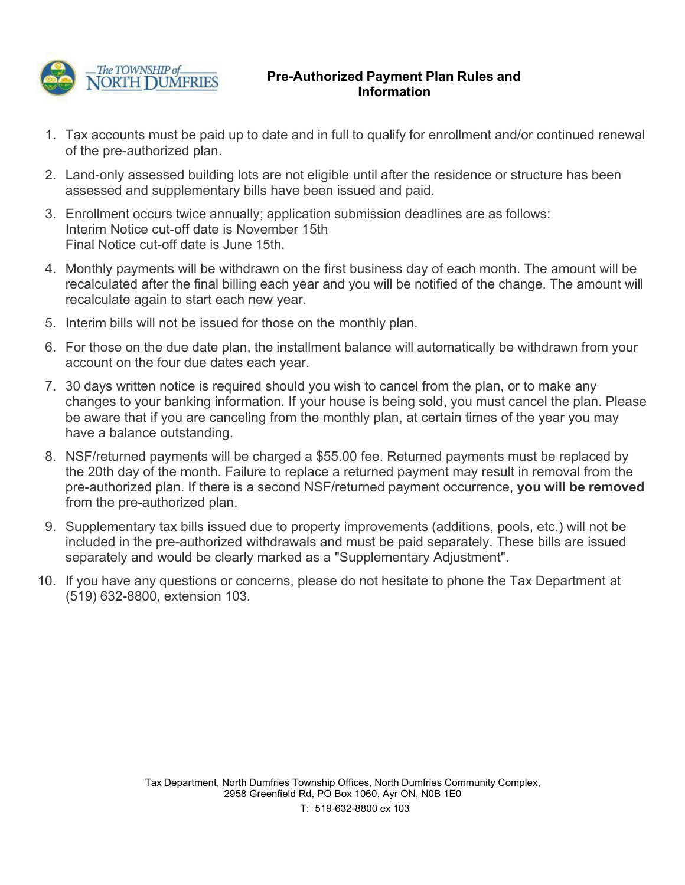

## **Pre-Authorized Payment Plan Rules and Information**

- 1. Tax accounts must be paid up to date and in full to qualify for enrollment and/or continued renewal of the pre-authorized plan.
- 2. Land-only assessed building lots are not eligible until after the residence or structure has been assessed and supplementary bills have been issued and paid.
- 3. Enrollment occurs twice annually; application submission deadlines are as follows: Interim Notice cut-off date is November 15th Final Notice cut-off date is June 15th.
- 4. Monthly payments will be withdrawn on the first business day of each month. The amount will be recalculated after the final billing each year and you will be notified of the change. The amount will recalculate again to start each new year.
- 5. Interim bills will not be issued for those on the monthly plan.
- 6. For those on the due date plan, the installment balance will automatically be withdrawn from your account on the four due dates each year.
- 7. 30 days written notice is required should you wish to cancel from the plan, or to make any changes to your banking information. If your house is being sold, you must cancel the plan. Please be aware that if you are canceling from the monthly plan, at certain times of the year you may have a balance outstanding.
- 8. NSF/returned payments will be charged a \$55.00 fee. Returned payments must be replaced by the 20th day of the month. Failure to replace a returned payment may result in removal from the pre-authorized plan. If there is a second NSF/returned payment occurrence, **you will be removed**  from the pre-authorized plan.
- 9. Supplementary tax bills issued due to property improvements (additions, pools, etc.) will not be included in the pre-authorized withdrawals and must be paid separately. These bills are issued separately and would be clearly marked as a "Supplementary Adjustment".
- 10. If you have any questions or concerns, please do not hesitate to phone the Tax Department at (519) 632-8800, extension 103.